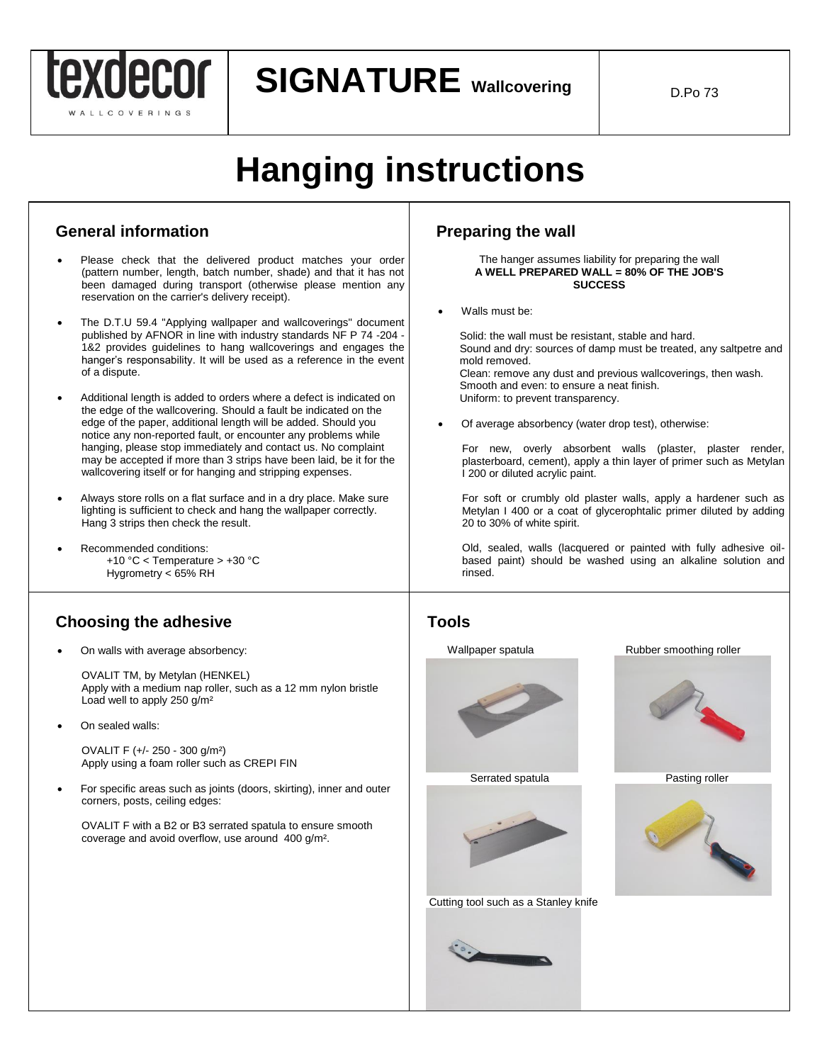

**SIGNATURE Wallcovering**  $\Big|$ 

# **Hanging instructions**

### **General information**

- Please check that the delivered product matches your order (pattern number, length, batch number, shade) and that it has not been damaged during transport (otherwise please mention any reservation on the carrier's delivery receipt).
- The D.T.U 59.4 "Applying wallpaper and wallcoverings" document published by AFNOR in line with industry standards NF P 74 -204 - 1&2 provides guidelines to hang wallcoverings and engages the hanger's responsability. It will be used as a reference in the event of a dispute.
- Additional length is added to orders where a defect is indicated on the edge of the wallcovering. Should a fault be indicated on the edge of the paper, additional length will be added. Should you notice any non-reported fault, or encounter any problems while hanging, please stop immediately and contact us. No complaint may be accepted if more than 3 strips have been laid, be it for the wallcovering itself or for hanging and stripping expenses.
- Always store rolls on a flat surface and in a dry place. Make sure lighting is sufficient to check and hang the wallpaper correctly. Hang 3 strips then check the result.
- Recommended conditions: +10 °C < Temperature > +30 °C Hygrometry < 65% RH

### **Choosing the adhesive**

On walls with average absorbency:

OVALIT TM, by Metylan (HENKEL) Apply with a medium nap roller, such as a 12 mm nylon bristle Load well to apply 250 g/m²

On sealed walls:

OVALIT F (+/- 250 - 300 g/m²) Apply using a foam roller such as CREPI FIN

 For specific areas such as joints (doors, skirting), inner and outer corners, posts, ceiling edges:

OVALIT F with a B2 or B3 serrated spatula to ensure smooth coverage and avoid overflow, use around 400 g/m².

## **Preparing the wall**

### The hanger assumes liability for preparing the wall **A WELL PREPARED WALL = 80% OF THE JOB'S SUCCESS**

Walls must be:

 Solid: the wall must be resistant, stable and hard. Sound and dry: sources of damp must be treated, any saltpetre and mold removed. Clean: remove any dust and previous wallcoverings, then wash. Smooth and even: to ensure a neat finish. Uniform: to prevent transparency.

Of average absorbency (water drop test), otherwise:

For new, overly absorbent walls (plaster, plaster render, plasterboard, cement), apply a thin layer of primer such as Metylan I 200 or diluted acrylic paint.

For soft or crumbly old plaster walls, apply a hardener such as Metylan I 400 or a coat of glycerophtalic primer diluted by adding 20 to 30% of white spirit.

Old, sealed, walls (lacquered or painted with fully adhesive oilbased paint) should be washed using an alkaline solution and rinsed.

### **Tools**





Cutting tool such as a Stanley knife



 $\overline{a}$ 

Wallpaper spatula **Rubber** smoothing roller